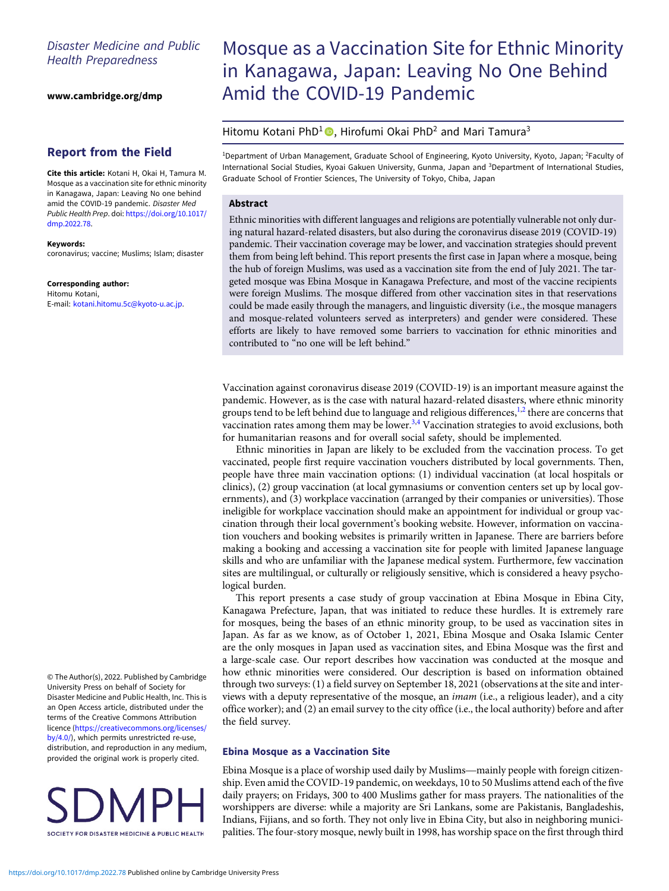# Disaster Medicine and Public Health Preparedness

[www.cambridge.org/dmp](https://www.cambridge.org/dmp)

## Report from the Field

Cite this article: Kotani H, Okai H, Tamura M. Mosque as a vaccination site for ethnic minority in Kanagawa, Japan: Leaving No one behind amid the COVID-19 pandemic. Disaster Med Public Health Prep. doi: [https://doi.org/10.1017/](https://doi.org/10.1017/dmp.2022.78) [dmp.2022.78.](https://doi.org/10.1017/dmp.2022.78)

#### Keywords:

coronavirus; vaccine; Muslims; Islam; disaster

Corresponding author: Hitomu Kotani, E-mail: [kotani.hitomu.5c@kyoto-u.ac.jp](mailto:kotani.hitomu.5c@kyoto-u.ac.jp).

© The Author(s), 2022. Published by Cambridge University Press on behalf of Society for Disaster Medicine and Public Health, Inc. This is an Open Access article, distributed under the terms of the Creative Commons Attribution licence ([https://creativecommons.org/licenses/](https://creativecommons.org/licenses/by/4.0/) [by/4.0/](https://creativecommons.org/licenses/by/4.0/)), which permits unrestricted re-use, distribution, and reproduction in any medium, provided the original work is properly cited.



# Mosque as a Vaccination Site for Ethnic Minority in Kanagawa, Japan: Leaving No One Behind Amid the COVID-19 Pandemic

## Hitomu Kotani PhD<sup>1</sup> , Hirofumi Okai PhD<sup>2</sup> and Mari Tamura<sup>3</sup>

<sup>1</sup>Department of Urban Management, Graduate School of Engineering, Kyoto University, Kyoto, Japan; <sup>2</sup>Faculty of International Social Studies, Kyoai Gakuen University, Gunma, Japan and <sup>3</sup>Department of International Studies, Graduate School of Frontier Sciences, The University of Tokyo, Chiba, Japan

## Abstract

Ethnic minorities with different languages and religions are potentially vulnerable not only during natural hazard-related disasters, but also during the coronavirus disease 2019 (COVID-19) pandemic. Their vaccination coverage may be lower, and vaccination strategies should prevent them from being left behind. This report presents the first case in Japan where a mosque, being the hub of foreign Muslims, was used as a vaccination site from the end of July 2021. The targeted mosque was Ebina Mosque in Kanagawa Prefecture, and most of the vaccine recipients were foreign Muslims. The mosque differed from other vaccination sites in that reservations could be made easily through the managers, and linguistic diversity (i.e., the mosque managers and mosque-related volunteers served as interpreters) and gender were considered. These efforts are likely to have removed some barriers to vaccination for ethnic minorities and contributed to "no one will be left behind."

Vaccination against coronavirus disease 2019 (COVID-19) is an important measure against the pandemic. However, as is the case with natural hazard-related disasters, where ethnic minority groups tend to be left behind due to language and religious differences,<sup>[1](#page-2-0),[2](#page-2-0)</sup> there are concerns that vaccination rates among them may be lower. $3.4$  Vaccination strategies to avoid exclusions, both for humanitarian reasons and for overall social safety, should be implemented.

Ethnic minorities in Japan are likely to be excluded from the vaccination process. To get vaccinated, people first require vaccination vouchers distributed by local governments. Then, people have three main vaccination options: (1) individual vaccination (at local hospitals or clinics), (2) group vaccination (at local gymnasiums or convention centers set up by local governments), and (3) workplace vaccination (arranged by their companies or universities). Those ineligible for workplace vaccination should make an appointment for individual or group vaccination through their local government's booking website. However, information on vaccination vouchers and booking websites is primarily written in Japanese. There are barriers before making a booking and accessing a vaccination site for people with limited Japanese language skills and who are unfamiliar with the Japanese medical system. Furthermore, few vaccination sites are multilingual, or culturally or religiously sensitive, which is considered a heavy psychological burden.

This report presents a case study of group vaccination at Ebina Mosque in Ebina City, Kanagawa Prefecture, Japan, that was initiated to reduce these hurdles. It is extremely rare for mosques, being the bases of an ethnic minority group, to be used as vaccination sites in Japan. As far as we know, as of October 1, 2021, Ebina Mosque and Osaka Islamic Center are the only mosques in Japan used as vaccination sites, and Ebina Mosque was the first and a large-scale case. Our report describes how vaccination was conducted at the mosque and how ethnic minorities were considered. Our description is based on information obtained through two surveys: (1) a field survey on September 18, 2021 (observations at the site and interviews with a deputy representative of the mosque, an *imam* (i.e., a religious leader), and a city office worker); and (2) an email survey to the city office (i.e., the local authority) before and after the field survey.

### Ebina Mosque as a Vaccination Site

Ebina Mosque is a place of worship used daily by Muslims—mainly people with foreign citizenship. Even amid the COVID-19 pandemic, on weekdays, 10 to 50 Muslims attend each of the five daily prayers; on Fridays, 300 to 400 Muslims gather for mass prayers. The nationalities of the worshippers are diverse: while a majority are Sri Lankans, some are Pakistanis, Bangladeshis, Indians, Fijians, and so forth. They not only live in Ebina City, but also in neighboring municipalities. The four-story mosque, newly built in 1998, has worship space on the first through third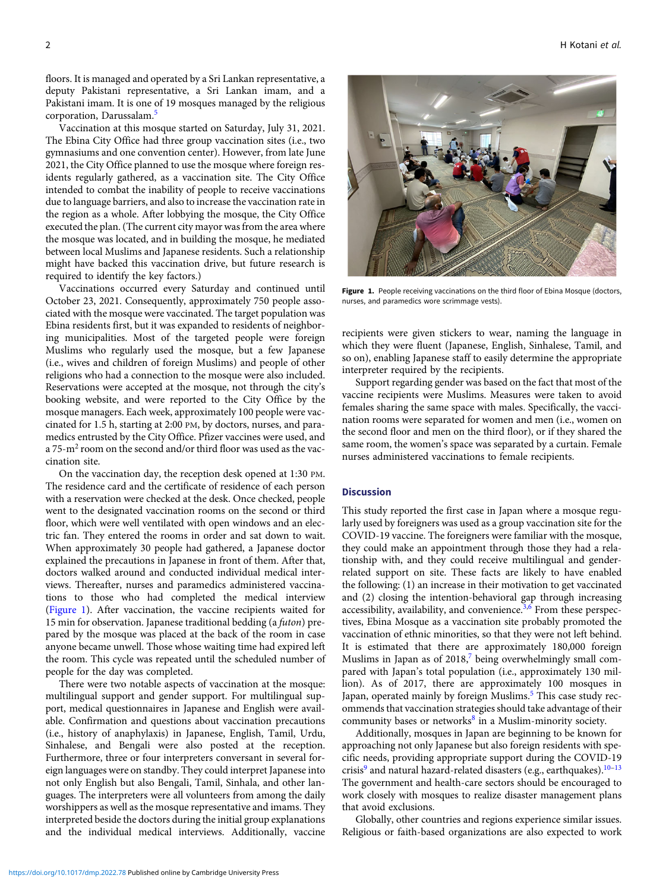floors. It is managed and operated by a Sri Lankan representative, a deputy Pakistani representative, a Sri Lankan imam, and a Pakistani imam. It is one of 19 mosques managed by the religious corporation, Darussalam.[5](#page-2-0)

Vaccination at this mosque started on Saturday, July 31, 2021. The Ebina City Office had three group vaccination sites (i.e., two gymnasiums and one convention center). However, from late June 2021, the City Office planned to use the mosque where foreign residents regularly gathered, as a vaccination site. The City Office intended to combat the inability of people to receive vaccinations due to language barriers, and also to increase the vaccination rate in the region as a whole. After lobbying the mosque, the City Office executed the plan. (The current city mayor was from the area where the mosque was located, and in building the mosque, he mediated between local Muslims and Japanese residents. Such a relationship might have backed this vaccination drive, but future research is required to identify the key factors.)

Vaccinations occurred every Saturday and continued until October 23, 2021. Consequently, approximately 750 people associated with the mosque were vaccinated. The target population was Ebina residents first, but it was expanded to residents of neighboring municipalities. Most of the targeted people were foreign Muslims who regularly used the mosque, but a few Japanese (i.e., wives and children of foreign Muslims) and people of other religions who had a connection to the mosque were also included. Reservations were accepted at the mosque, not through the city's booking website, and were reported to the City Office by the mosque managers. Each week, approximately 100 people were vaccinated for 1.5 h, starting at 2:00 PM, by doctors, nurses, and paramedics entrusted by the City Office. Pfizer vaccines were used, and a 75-m2 room on the second and/or third floor was used as the vaccination site.

On the vaccination day, the reception desk opened at 1:30 PM. The residence card and the certificate of residence of each person with a reservation were checked at the desk. Once checked, people went to the designated vaccination rooms on the second or third floor, which were well ventilated with open windows and an electric fan. They entered the rooms in order and sat down to wait. When approximately 30 people had gathered, a Japanese doctor explained the precautions in Japanese in front of them. After that, doctors walked around and conducted individual medical interviews. Thereafter, nurses and paramedics administered vaccinations to those who had completed the medical interview (Figure 1). After vaccination, the vaccine recipients waited for 15 min for observation. Japanese traditional bedding (a futon) prepared by the mosque was placed at the back of the room in case anyone became unwell. Those whose waiting time had expired left the room. This cycle was repeated until the scheduled number of people for the day was completed.

There were two notable aspects of vaccination at the mosque: multilingual support and gender support. For multilingual support, medical questionnaires in Japanese and English were available. Confirmation and questions about vaccination precautions (i.e., history of anaphylaxis) in Japanese, English, Tamil, Urdu, Sinhalese, and Bengali were also posted at the reception. Furthermore, three or four interpreters conversant in several foreign languages were on standby. They could interpret Japanese into not only English but also Bengali, Tamil, Sinhala, and other languages. The interpreters were all volunteers from among the daily worshippers as well as the mosque representative and imams. They interpreted beside the doctors during the initial group explanations and the individual medical interviews. Additionally, vaccine



Figure 1. People receiving vaccinations on the third floor of Ebina Mosque (doctors, nurses, and paramedics wore scrimmage vests).

recipients were given stickers to wear, naming the language in which they were fluent (Japanese, English, Sinhalese, Tamil, and so on), enabling Japanese staff to easily determine the appropriate interpreter required by the recipients.

Support regarding gender was based on the fact that most of the vaccine recipients were Muslims. Measures were taken to avoid females sharing the same space with males. Specifically, the vaccination rooms were separated for women and men (i.e., women on the second floor and men on the third floor), or if they shared the same room, the women's space was separated by a curtain. Female nurses administered vaccinations to female recipients.

#### **Discussion**

This study reported the first case in Japan where a mosque regularly used by foreigners was used as a group vaccination site for the COVID-19 vaccine. The foreigners were familiar with the mosque, they could make an appointment through those they had a relationship with, and they could receive multilingual and genderrelated support on site. These facts are likely to have enabled the following: (1) an increase in their motivation to get vaccinated and (2) closing the intention-behavioral gap through increasing accessibility, availability, and convenience. $3,6$  From these perspectives, Ebina Mosque as a vaccination site probably promoted the vaccination of ethnic minorities, so that they were not left behind. It is estimated that there are approximately 180,000 foreign Muslims in Japan as of 2018,<sup>[7](#page-2-0)</sup> being overwhelmingly small compared with Japan's total population (i.e., approximately 130 million). As of 2017, there are approximately 100 mosques in Japan, operated mainly by foreign Muslims.<sup>[5](#page-2-0)</sup> This case study recommends that vaccination strategies should take advantage of their community bases or networks $8$  in a Muslim-minority society.

Additionally, mosques in Japan are beginning to be known for approaching not only Japanese but also foreign residents with specific needs, providing appropriate support during the COVID-19 crisis<sup>[9](#page-2-0)</sup> and natural hazard-related disasters (e.g., earthquakes).<sup>[10](#page-2-0)-[13](#page-2-0)</sup> The government and health-care sectors should be encouraged to work closely with mosques to realize disaster management plans that avoid exclusions.

Globally, other countries and regions experience similar issues. Religious or faith-based organizations are also expected to work